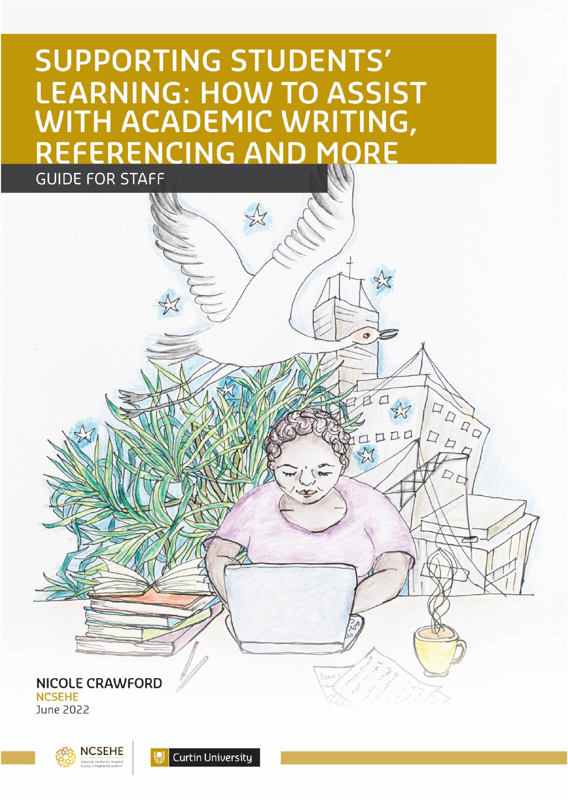# **SUPPORTING STUDENTS' LEARNING: HOW TO ASSIST** WITH ACADEMIC WRITING, **EFERENCING AND MORE GUIDE FOR STAFF**

 $\bullet$ 

 $LLLC$ 

ODDD

 $\Box$  $\overline{D}$ 

**NICOLE CRAWFORD NCSEHE** June 2022



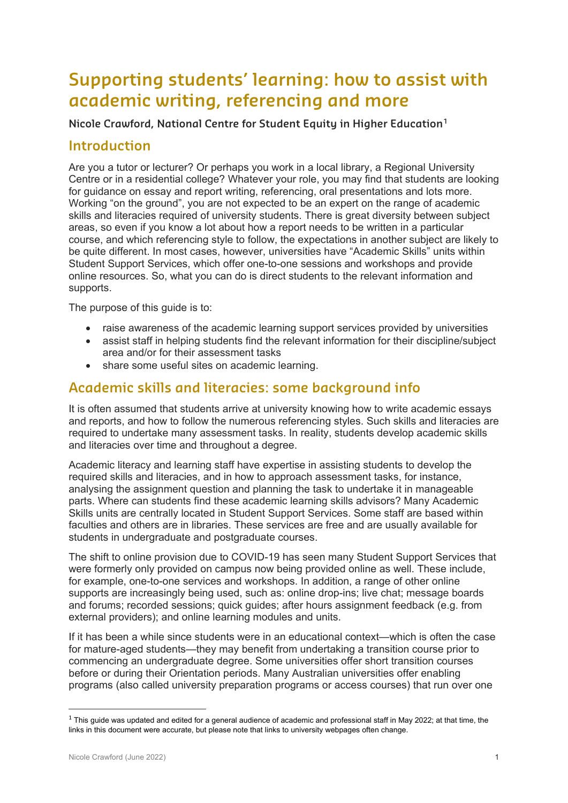# **Supporting students' learning: how to assist with academic writing, referencing and more**

**Nicole Crawford, National Centre for Student Equity in Higher Education[1](#page-1-0)**

# **Introduction**

Are you a tutor or lecturer? Or perhaps you work in a local library, a Regional University Centre or in a residential college? Whatever your role, you may find that students are looking for guidance on essay and report writing, referencing, oral presentations and lots more. Working "on the ground", you are not expected to be an expert on the range of academic skills and literacies required of university students. There is great diversity between subject areas, so even if you know a lot about how a report needs to be written in a particular course, and which referencing style to follow, the expectations in another subject are likely to be quite different. In most cases, however, universities have "Academic Skills" units within Student Support Services, which offer one-to-one sessions and workshops and provide online resources. So, what you can do is direct students to the relevant information and supports.

The purpose of this guide is to:

- raise awareness of the academic learning support services provided by universities
- assist staff in helping students find the relevant information for their discipline/subject area and/or for their assessment tasks
- share some useful sites on academic learning.

## **Academic skills and literacies: some background info**

It is often assumed that students arrive at university knowing how to write academic essays and reports, and how to follow the numerous referencing styles. Such skills and literacies are required to undertake many assessment tasks. In reality, students develop academic skills and literacies over time and throughout a degree.

Academic literacy and learning staff have expertise in assisting students to develop the required skills and literacies, and in how to approach assessment tasks, for instance, analysing the assignment question and planning the task to undertake it in manageable parts. Where can students find these academic learning skills advisors? Many Academic Skills units are centrally located in Student Support Services. Some staff are based within faculties and others are in libraries. These services are free and are usually available for students in undergraduate and postgraduate courses.

The shift to online provision due to COVID-19 has seen many Student Support Services that were formerly only provided on campus now being provided online as well. These include, for example, one-to-one services and workshops. In addition, a range of other online supports are increasingly being used, such as: online drop-ins; live chat; message boards and forums; recorded sessions; quick quides; after hours assignment feedback (e.g. from external providers); and online learning modules and units.

If it has been a while since students were in an educational context—which is often the case for mature-aged students—they may benefit from undertaking a transition course prior to commencing an undergraduate degree. Some universities offer short transition courses before or during their Orientation periods. Many Australian universities offer enabling programs (also called university preparation programs or access courses) that run over one

<span id="page-1-0"></span> $1$  This guide was updated and edited for a general audience of academic and professional staff in May 2022; at that time, the links in this document were accurate, but please note that links to university webpages often change.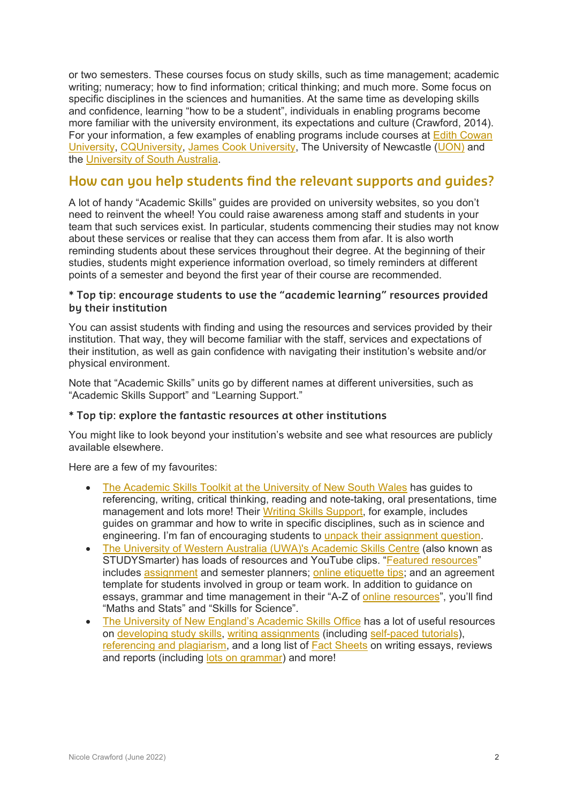or two semesters. These courses focus on study skills, such as time management; academic writing; numeracy; how to find information; critical thinking; and much more. Some focus on specific disciplines in the sciences and humanities. At the same time as developing skills and confidence, learning "how to be a student", individuals in enabling programs become more familiar with the university environment, its expectations and culture (Crawford, 2014). For your information, a few examples of enabling programs include courses at **Edith Cowan** [University,](https://www.ecu.edu.au/degrees/uniprep) [CQUn](https://www.cqu.edu.au/courses/study-information/work-and-study-preparation/steps)iversity, [James Cook University,](https://www.jcu.edu.au/pathways-to-university/tertiary-access-courses) The University of Newcastle [\(UON\)](https://www.newcastle.edu.au/study/pathways/open-foundation) and the [University of South Australia.](https://study.unisa.edu.au/degrees/unisa-foundation-studies/dom)

# **How can you help students find the relevant supports and guides?**

A lot of handy "Academic Skills" guides are provided on university websites, so you don't need to reinvent the wheel! You could raise awareness among staff and students in your team that such services exist. In particular, students commencing their studies may not know about these services or realise that they can access them from afar. It is also worth reminding students about these services throughout their degree. At the beginning of their studies, students might experience information overload, so timely reminders at different points of a semester and beyond the first year of their course are recommended.

#### **\* Top tip: encourage students to use the "academic learning" resources provided by their institution**

You can assist students with finding and using the resources and services provided by their institution. That way, they will become familiar with the staff, services and expectations of their institution, as well as gain confidence with navigating their institution's website and/or physical environment.

Note that "Academic Skills" units go by different names at different universities, such as "Academic Skills Support" and "Learning Support."

#### **\* Top tip: explore the fantastic resources at other institutions**

You might like to look beyond your institution's website and see what resources are publicly available elsewhere.

Here are a few of my favourites:

- [The Academic Skills Toolkit at the University of New South Wales](https://www.student.unsw.edu.au/skills/resources) has guides to referencing, writing, critical thinking, reading and note-taking, oral presentations, time management and lots more! Their [Writing Skills Support,](https://student.unsw.edu.au/writing) for example, includes guides on grammar and how to write in specific disciplines, such as in science and engineering. I'm fan of encouraging students to [unpack their assignment question.](https://student.unsw.edu.au/answering-assignment-questions)
- [The University of Western Australia \(UWA\)'s Academic Skills Centre](https://www.uwa.edu.au/students/support-services/academic-support) (also known as STUDYSmarter) has loads of resources and YouTube clips. ["Featured resources"](https://www.uwa.edu.au/students/support-services/academic-support#resources) includes [assignment](https://www.student.uwa.edu.au/learning/studysmarter/assignment-calculator) and semester planners; [online etiquette](https://www.uwa.edu.au/students/-/media/Project/UWA/UWA/Students/Docs/STUDYSmarter/Home/UWA-Studying-Online-Etiquette---Using-Zoom-and-Teams.pdf) tips; and an agreement template for students involved in group or team work. In addition to guidance on essays, grammar and time management in their "A-Z of [online resources"](https://www.uwa.edu.au/students/support-services/academic-support#resources), you'll find "Maths and Stats" and "Skills for Science".
- [The University of New England's Academic Skills Office](https://www.une.edu.au/library/students/welcome/academic-skills) has a lot of useful resources on [developing study skills,](https://www.une.edu.au/library/students/study-skills) [writing assignments](https://www.une.edu.au/library/students/academic-writing) (including [self-paced tutorials\)](https://www.une.edu.au/library/students/academic-writing/self-paced-tutorials), [referencing and plagiarism,](https://www.une.edu.au/library/students/referencing-and-plagiarism) and a long list of [Fact Sheets](https://www.une.edu.au/library/students/academic-writing/write-essays-reviews-and-reports) on writing essays, reviews and reports (including [lots on grammar\)](https://www.une.edu.au/library/students/academic-writing/write-correctly) and more!